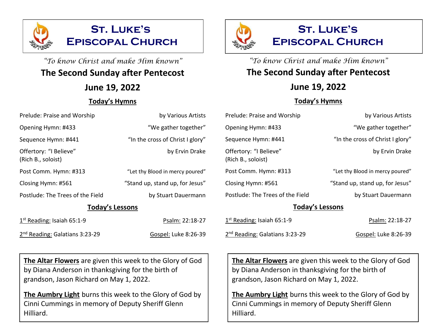

# "To know Christ and make Him known" **The Second Sunday after Pentecost**

**June 19, 2022**

#### **Today's Hymns**

|              | <b>ST. LUKE'S</b>       |  |
|--------------|-------------------------|--|
| $\mathbb{R}$ | <b>EPISCOPAL CHURCH</b> |  |

"To know Christ and make Him known" **The Second Sunday after Pentecost**

## **June 19, 2022**

### **Today's Hymns**

| Prelude: Praise and Worship                  | by Various Artists               | Prelude: Praise and Worship                  | by Various Artists               |
|----------------------------------------------|----------------------------------|----------------------------------------------|----------------------------------|
| Opening Hymn: #433                           | "We gather together"             | Opening Hymn: #433                           | "We gather together"             |
| Sequence Hymn: #441                          | "In the cross of Christ I glory" | Sequence Hymn: #441                          | "In the cross of Christ I glory" |
| Offertory: "I Believe"<br>(Rich B., soloist) | by Ervin Drake                   | Offertory: "I Believe"<br>(Rich B., soloist) | by Ervin Drake                   |
| Post Comm. Hymn: #313                        | "Let thy Blood in mercy poured"  | Post Comm. Hymn: #313                        | "Let thy Blood in mercy poured"  |
| Closing Hymn: #561                           | "Stand up, stand up, for Jesus"  | Closing Hymn: #561                           | "Stand up, stand up, for Jesus"  |
| Postlude: The Trees of the Field             | by Stuart Dauermann              | Postlude: The Trees of the Field             | by Stuart Dauermann              |
| <b>Today's Lessons</b>                       |                                  | <b>Today's Lessons</b>                       |                                  |
| $1st$ Reading: Isaiah 65:1-9                 | Psalm: 22:18-27                  | $1st$ Reading: Isaiah 65:1-9                 | Psalm: 22:18-27                  |
| 2 <sup>nd</sup> Reading: Galatians 3:23-29   | Gospel: Luke 8:26-39             | 2 <sup>nd</sup> Reading: Galatians 3:23-29   | Gospel: Luke 8:26-39             |

**The Altar Flowers** are given this week to the Glory of God by Diana Anderson in thanksgiving for the birth of grandson, Jason Richard on May 1, 2022.

**The Aumbry Light** burns this week to the Glory of God by Cinni Cummings in memory of Deputy Sheriff Glenn Hilliard.

**The Altar Flowers** are given this week to the Glory of God by Diana Anderson in thanksgiving for the birth of grandson, Jason Richard on May 1, 2022.

**The Aumbry Light** burns this week to the Glory of God by Cinni Cummings in memory of Deputy Sheriff Glenn Hilliard.